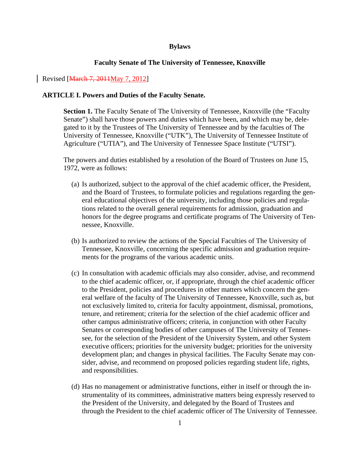## **Bylaws**

#### **Faculty Senate of The University of Tennessee, Knoxville**

## Revised [March 7, 2011May 7, 2012]

#### **ARTICLE I. Powers and Duties of the Faculty Senate.**

**Section 1.** The Faculty Senate of The University of Tennessee, Knoxville (the "Faculty Senate") shall have those powers and duties which have been, and which may be, delegated to it by the Trustees of The University of Tennessee and by the faculties of The University of Tennessee, Knoxville ("UTK"), The University of Tennessee Institute of Agriculture ("UTIA"), and The University of Tennessee Space Institute ("UTSI").

The powers and duties established by a resolution of the Board of Trustees on June 15, 1972, were as follows:

- (a) Is authorized, subject to the approval of the chief academic officer, the President, and the Board of Trustees, to formulate policies and regulations regarding the general educational objectives of the university, including those policies and regulations related to the overall general requirements for admission, graduation and honors for the degree programs and certificate programs of The University of Tennessee, Knoxville.
- (b) Is authorized to review the actions of the Special Faculties of The University of Tennessee, Knoxville, concerning the specific admission and graduation requirements for the programs of the various academic units.
- (c) In consultation with academic officials may also consider, advise, and recommend to the chief academic officer, or, if appropriate, through the chief academic officer to the President, policies and procedures in other matters which concern the general welfare of the faculty of The University of Tennessee, Knoxville, such as, but not exclusively limited to, criteria for faculty appointment, dismissal, promotions, tenure, and retirement; criteria for the selection of the chief academic officer and other campus administrative officers; criteria, in conjunction with other Faculty Senates or corresponding bodies of other campuses of The University of Tennessee, for the selection of the President of the University System, and other System executive officers; priorities for the university budget; priorities for the university development plan; and changes in physical facilities. The Faculty Senate may consider, advise, and recommend on proposed policies regarding student life, rights, and responsibilities.
- (d) Has no management or administrative functions, either in itself or through the instrumentality of its committees, administrative matters being expressly reserved to the President of the University, and delegated by the Board of Trustees and through the President to the chief academic officer of The University of Tennessee.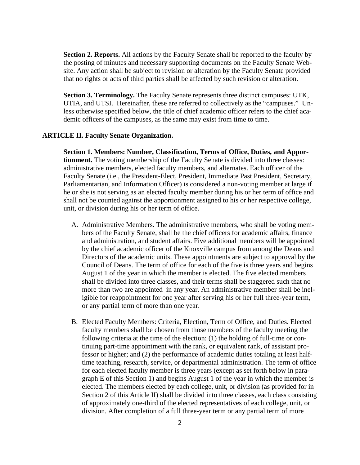**Section 2. Reports.** All actions by the Faculty Senate shall be reported to the faculty by the posting of minutes and necessary supporting documents on the Faculty Senate Website. Any action shall be subject to revision or alteration by the Faculty Senate provided that no rights or acts of third parties shall be affected by such revision or alteration.

**Section 3. Terminology.** The Faculty Senate represents three distinct campuses: UTK, UTIA, and UTSI. Hereinafter, these are referred to collectively as the "campuses." Unless otherwise specified below, the title of chief academic officer refers to the chief academic officers of the campuses, as the same may exist from time to time.

## **ARTICLE II. Faculty Senate Organization.**

**Section 1. Members: Number, Classification, Terms of Office, Duties, and Apportionment.** The voting membership of the Faculty Senate is divided into three classes: administrative members, elected faculty members, and alternates. Each officer of the Faculty Senate (i.e., the President-Elect, President, Immediate Past President, Secretary, Parliamentarian, and Information Officer) is considered a non-voting member at large if he or she is not serving as an elected faculty member during his or her term of office and shall not be counted against the apportionment assigned to his or her respective college, unit, or division during his or her term of office.

- A. Administrative Members. The administrative members, who shall be voting members of the Faculty Senate, shall be the chief officers for academic affairs, finance and administration, and student affairs. Five additional members will be appointed by the chief academic officer of the Knoxville campus from among the Deans and Directors of the academic units. These appointments are subject to approval by the Council of Deans. The term of office for each of the five is three years and begins August 1 of the year in which the member is elected. The five elected members shall be divided into three classes, and their terms shall be staggered such that no more than two are appointed in any year. An administrative member shall be ineligible for reappointment for one year after serving his or her full three-year term, or any partial term of more than one year.
- B. Elected Faculty Members: Criteria, Election, Term of Office, and Duties. Elected faculty members shall be chosen from those members of the faculty meeting the following criteria at the time of the election: (1) the holding of full-time or continuing part-time appointment with the rank, or equivalent rank, of assistant professor or higher; and (2) the performance of academic duties totaling at least halftime teaching, research, service, or departmental administration. The term of office for each elected faculty member is three years (except as set forth below in paragraph E of this Section 1) and begins August 1 of the year in which the member is elected. The members elected by each college, unit, or division (as provided for in Section 2 of this Article II) shall be divided into three classes, each class consisting of approximately one-third of the elected representatives of each college, unit, or division. After completion of a full three-year term or any partial term of more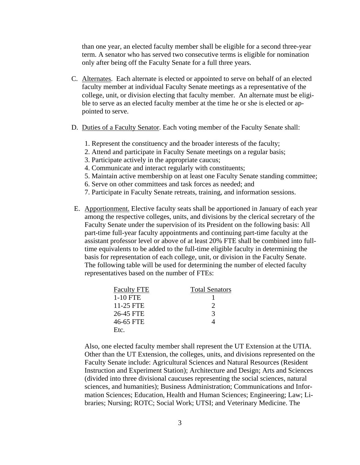than one year, an elected faculty member shall be eligible for a second three-year term. A senator who has served two consecutive terms is eligible for nomination only after being off the Faculty Senate for a full three years.

- C. Alternates. Each alternate is elected or appointed to serve on behalf of an elected faculty member at individual Faculty Senate meetings as a representative of the college, unit, or division electing that faculty member. An alternate must be eligible to serve as an elected faculty member at the time he or she is elected or appointed to serve.
- D. Duties of a Faculty Senator. Each voting member of the Faculty Senate shall:
	- 1. Represent the constituency and the broader interests of the faculty;
	- 2. Attend and participate in Faculty Senate meetings on a regular basis;
	- 3. Participate actively in the appropriate caucus;
	- 4. Communicate and interact regularly with constituents;
	- 5. Maintain active membership on at least one Faculty Senate standing committee;
	- 6. Serve on other committees and task forces as needed; and
	- 7. Participate in Faculty Senate retreats, training, and information sessions.
- E. Apportionment. Elective faculty seats shall be apportioned in January of each year among the respective colleges, units, and divisions by the clerical secretary of the Faculty Senate under the supervision of its President on the following basis: All part-time full-year faculty appointments and continuing part-time faculty at the assistant professor level or above of at least 20% FTE shall be combined into fulltime equivalents to be added to the full-time eligible faculty in determining the basis for representation of each college, unit, or division in the Faculty Senate. The following table will be used for determining the number of elected faculty representatives based on the number of FTEs:

| <b>Faculty FTE</b> | <b>Total Senators</b> |
|--------------------|-----------------------|
| 1-10 FTE           |                       |
| 11-25 FTE          | 2                     |
| 26-45 FTE          | 3                     |
| 46-65 FTE          |                       |
| Etc.               |                       |

Also, one elected faculty member shall represent the UT Extension at the UTIA. Other than the UT Extension, the colleges, units, and divisions represented on the Faculty Senate include: Agricultural Sciences and Natural Resources (Resident Instruction and Experiment Station); Architecture and Design; Arts and Sciences (divided into three divisional caucuses representing the social sciences, natural sciences, and humanities); Business Administration; Communications and Information Sciences; Education, Health and Human Sciences; Engineering; Law; Libraries; Nursing; ROTC; Social Work; UTSI; and Veterinary Medicine. The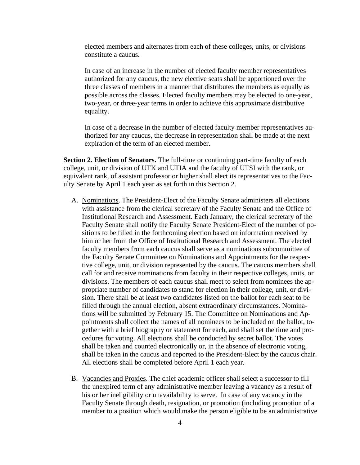elected members and alternates from each of these colleges, units, or divisions constitute a caucus.

In case of an increase in the number of elected faculty member representatives authorized for any caucus, the new elective seats shall be apportioned over the three classes of members in a manner that distributes the members as equally as possible across the classes. Elected faculty members may be elected to one-year, two-year, or three-year terms in order to achieve this approximate distributive equality.

In case of a decrease in the number of elected faculty member representatives authorized for any caucus, the decrease in representation shall be made at the next expiration of the term of an elected member.

**Section 2. Election of Senators.** The full-time or continuing part-time faculty of each college, unit, or division of UTK and UTIA and the faculty of UTSI with the rank, or equivalent rank, of assistant professor or higher shall elect its representatives to the Faculty Senate by April 1 each year as set forth in this Section 2.

- A. Nominations. The President-Elect of the Faculty Senate administers all elections with assistance from the clerical secretary of the Faculty Senate and the Office of Institutional Research and Assessment. Each January, the clerical secretary of the Faculty Senate shall notify the Faculty Senate President-Elect of the number of positions to be filled in the forthcoming election based on information received by him or her from the Office of Institutional Research and Assessment. The elected faculty members from each caucus shall serve as a nominations subcommittee of the Faculty Senate Committee on Nominations and Appointments for the respective college, unit, or division represented by the caucus. The caucus members shall call for and receive nominations from faculty in their respective colleges, units, or divisions. The members of each caucus shall meet to select from nominees the appropriate number of candidates to stand for election in their college, unit, or division. There shall be at least two candidates listed on the ballot for each seat to be filled through the annual election, absent extraordinary circumstances. Nominations will be submitted by February 15. The Committee on Nominations and Appointments shall collect the names of all nominees to be included on the ballot, together with a brief biography or statement for each, and shall set the time and procedures for voting. All elections shall be conducted by secret ballot. The votes shall be taken and counted electronically or, in the absence of electronic voting, shall be taken in the caucus and reported to the President-Elect by the caucus chair. All elections shall be completed before April 1 each year.
- B. Vacancies and Proxies. The chief academic officer shall select a successor to fill the unexpired term of any administrative member leaving a vacancy as a result of his or her ineligibility or unavailability to serve. In case of any vacancy in the Faculty Senate through death, resignation, or promotion (including promotion of a member to a position which would make the person eligible to be an administrative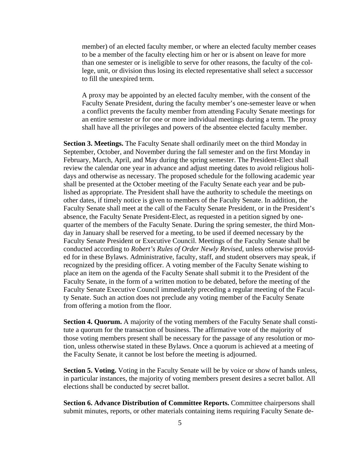member) of an elected faculty member, or where an elected faculty member ceases to be a member of the faculty electing him or her or is absent on leave for more than one semester or is ineligible to serve for other reasons, the faculty of the college, unit, or division thus losing its elected representative shall select a successor to fill the unexpired term.

A proxy may be appointed by an elected faculty member, with the consent of the Faculty Senate President, during the faculty member's one-semester leave or when a conflict prevents the faculty member from attending Faculty Senate meetings for an entire semester or for one or more individual meetings during a term. The proxy shall have all the privileges and powers of the absentee elected faculty member.

**Section 3. Meetings.** The Faculty Senate shall ordinarily meet on the third Monday in September, October, and November during the fall semester and on the first Monday in February, March, April, and May during the spring semester. The President-Elect shall review the calendar one year in advance and adjust meeting dates to avoid religious holidays and otherwise as necessary. The proposed schedule for the following academic year shall be presented at the October meeting of the Faculty Senate each year and be published as appropriate. The President shall have the authority to schedule the meetings on other dates, if timely notice is given to members of the Faculty Senate. In addition, the Faculty Senate shall meet at the call of the Faculty Senate President, or in the President's absence, the Faculty Senate President-Elect, as requested in a petition signed by onequarter of the members of the Faculty Senate. During the spring semester, the third Monday in January shall be reserved for a meeting, to be used if deemed necessary by the Faculty Senate President or Executive Council. Meetings of the Faculty Senate shall be conducted according to *Robert's Rules of Order Newly Revised*, unless otherwise provided for in these Bylaws. Administrative, faculty, staff, and student observers may speak, if recognized by the presiding officer. A voting member of the Faculty Senate wishing to place an item on the agenda of the Faculty Senate shall submit it to the President of the Faculty Senate, in the form of a written motion to be debated, before the meeting of the Faculty Senate Executive Council immediately preceding a regular meeting of the Faculty Senate. Such an action does not preclude any voting member of the Faculty Senate from offering a motion from the floor.

**Section 4. Quorum.** A majority of the voting members of the Faculty Senate shall constitute a quorum for the transaction of business. The affirmative vote of the majority of those voting members present shall be necessary for the passage of any resolution or motion, unless otherwise stated in these Bylaws. Once a quorum is achieved at a meeting of the Faculty Senate, it cannot be lost before the meeting is adjourned.

**Section 5. Voting.** Voting in the Faculty Senate will be by voice or show of hands unless, in particular instances, the majority of voting members present desires a secret ballot. All elections shall be conducted by secret ballot.

**Section 6. Advance Distribution of Committee Reports.** Committee chairpersons shall submit minutes, reports, or other materials containing items requiring Faculty Senate de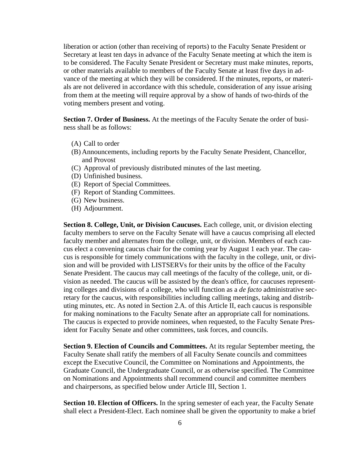liberation or action (other than receiving of reports) to the Faculty Senate President or Secretary at least ten days in advance of the Faculty Senate meeting at which the item is to be considered. The Faculty Senate President or Secretary must make minutes, reports, or other materials available to members of the Faculty Senate at least five days in advance of the meeting at which they will be considered. If the minutes, reports, or materials are not delivered in accordance with this schedule, consideration of any issue arising from them at the meeting will require approval by a show of hands of two-thirds of the voting members present and voting.

**Section 7. Order of Business.** At the meetings of the Faculty Senate the order of business shall be as follows:

- (A) Call to order
- (B) Announcements, including reports by the Faculty Senate President, Chancellor, and Provost
- (C) Approval of previously distributed minutes of the last meeting.
- (D) Unfinished business.
- (E) Report of Special Committees.
- (F) Report of Standing Committees.
- (G) New business.
- (H) Adjournment.

**Section 8. College, Unit, or Division Caucuses.** Each college, unit, or division electing faculty members to serve on the Faculty Senate will have a caucus comprising all elected faculty member and alternates from the college, unit, or division. Members of each caucus elect a convening caucus chair for the coming year by August 1 each year. The caucus is responsible for timely communications with the faculty in the college, unit, or division and will be provided with LISTSERVs for their units by the office of the Faculty Senate President. The caucus may call meetings of the faculty of the college, unit, or division as needed. The caucus will be assisted by the dean's office, for caucuses representing colleges and divisions of a college, who will function as a *de facto* administrative secretary for the caucus, with responsibilities including calling meetings, taking and distributing minutes, etc. As noted in Section 2.A. of this Article II, each caucus is responsible for making nominations to the Faculty Senate after an appropriate call for nominations. The caucus is expected to provide nominees, when requested, to the Faculty Senate President for Faculty Senate and other committees, task forces, and councils.

**Section 9. Election of Councils and Committees.** At its regular September meeting, the Faculty Senate shall ratify the members of all Faculty Senate councils and committees except the Executive Council, the Committee on Nominations and Appointments, the Graduate Council, the Undergraduate Council, or as otherwise specified. The Committee on Nominations and Appointments shall recommend council and committee members and chairpersons, as specified below under Article III, Section 1.

**Section 10. Election of Officers.** In the spring semester of each year, the Faculty Senate shall elect a President-Elect. Each nominee shall be given the opportunity to make a brief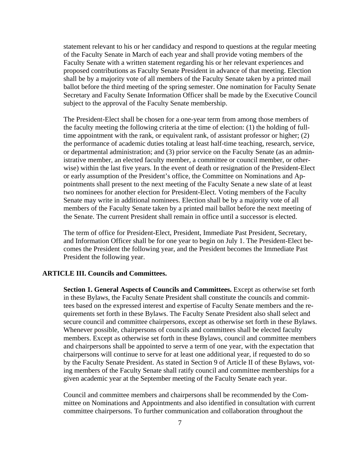statement relevant to his or her candidacy and respond to questions at the regular meeting of the Faculty Senate in March of each year and shall provide voting members of the Faculty Senate with a written statement regarding his or her relevant experiences and proposed contributions as Faculty Senate President in advance of that meeting. Election shall be by a majority vote of all members of the Faculty Senate taken by a printed mail ballot before the third meeting of the spring semester. One nomination for Faculty Senate Secretary and Faculty Senate Information Officer shall be made by the Executive Council subject to the approval of the Faculty Senate membership.

The President-Elect shall be chosen for a one-year term from among those members of the faculty meeting the following criteria at the time of election: (1) the holding of fulltime appointment with the rank, or equivalent rank, of assistant professor or higher; (2) the performance of academic duties totaling at least half-time teaching, research, service, or departmental administration; and (3) prior service on the Faculty Senate (as an administrative member, an elected faculty member, a committee or council member, or otherwise) within the last five years. In the event of death or resignation of the President-Elect or early assumption of the President's office, the Committee on Nominations and Appointments shall present to the next meeting of the Faculty Senate a new slate of at least two nominees for another election for President-Elect. Voting members of the Faculty Senate may write in additional nominees. Election shall be by a majority vote of all members of the Faculty Senate taken by a printed mail ballot before the next meeting of the Senate. The current President shall remain in office until a successor is elected.

The term of office for President-Elect, President, Immediate Past President, Secretary, and Information Officer shall be for one year to begin on July 1. The President-Elect becomes the President the following year, and the President becomes the Immediate Past President the following year.

#### **ARTICLE III. Councils and Committees.**

**Section 1. General Aspects of Councils and Committees.** Except as otherwise set forth in these Bylaws, the Faculty Senate President shall constitute the councils and committees based on the expressed interest and expertise of Faculty Senate members and the requirements set forth in these Bylaws. The Faculty Senate President also shall select and secure council and committee chairpersons, except as otherwise set forth in these Bylaws. Whenever possible, chairpersons of councils and committees shall be elected faculty members. Except as otherwise set forth in these Bylaws, council and committee members and chairpersons shall be appointed to serve a term of one year, with the expectation that chairpersons will continue to serve for at least one additional year, if requested to do so by the Faculty Senate President. As stated in Section 9 of Article II of these Bylaws, voting members of the Faculty Senate shall ratify council and committee memberships for a given academic year at the September meeting of the Faculty Senate each year.

Council and committee members and chairpersons shall be recommended by the Committee on Nominations and Appointments and also identified in consultation with current committee chairpersons. To further communication and collaboration throughout the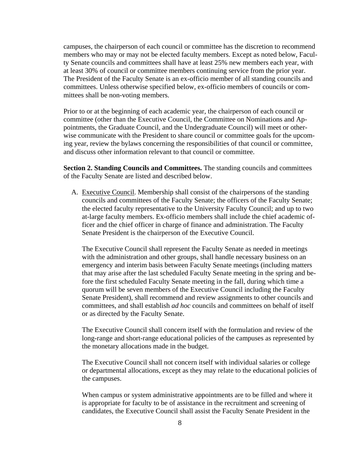campuses, the chairperson of each council or committee has the discretion to recommend members who may or may not be elected faculty members. Except as noted below, Faculty Senate councils and committees shall have at least 25% new members each year, with at least 30% of council or committee members continuing service from the prior year. The President of the Faculty Senate is an ex-officio member of all standing councils and committees. Unless otherwise specified below, ex-officio members of councils or committees shall be non-voting members.

Prior to or at the beginning of each academic year, the chairperson of each council or committee (other than the Executive Council, the Committee on Nominations and Appointments, the Graduate Council, and the Undergraduate Council) will meet or otherwise communicate with the President to share council or committee goals for the upcoming year, review the bylaws concerning the responsibilities of that council or committee, and discuss other information relevant to that council or committee.

**Section 2. Standing Councils and Committees.** The standing councils and committees of the Faculty Senate are listed and described below.

A. Executive Council. Membership shall consist of the chairpersons of the standing councils and committees of the Faculty Senate; the officers of the Faculty Senate; the elected faculty representative to the University Faculty Council; and up to two at-large faculty members. Ex-officio members shall include the chief academic officer and the chief officer in charge of finance and administration. The Faculty Senate President is the chairperson of the Executive Council.

The Executive Council shall represent the Faculty Senate as needed in meetings with the administration and other groups, shall handle necessary business on an emergency and interim basis between Faculty Senate meetings (including matters that may arise after the last scheduled Faculty Senate meeting in the spring and before the first scheduled Faculty Senate meeting in the fall, during which time a quorum will be seven members of the Executive Council including the Faculty Senate President), shall recommend and review assignments to other councils and committees, and shall establish *ad hoc* councils and committees on behalf of itself or as directed by the Faculty Senate.

The Executive Council shall concern itself with the formulation and review of the long-range and short-range educational policies of the campuses as represented by the monetary allocations made in the budget.

The Executive Council shall not concern itself with individual salaries or college or departmental allocations, except as they may relate to the educational policies of the campuses.

When campus or system administrative appointments are to be filled and where it is appropriate for faculty to be of assistance in the recruitment and screening of candidates, the Executive Council shall assist the Faculty Senate President in the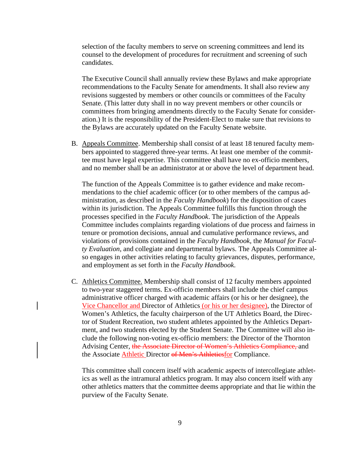selection of the faculty members to serve on screening committees and lend its counsel to the development of procedures for recruitment and screening of such candidates.

The Executive Council shall annually review these Bylaws and make appropriate recommendations to the Faculty Senate for amendments. It shall also review any revisions suggested by members or other councils or committees of the Faculty Senate. (This latter duty shall in no way prevent members or other councils or committees from bringing amendments directly to the Faculty Senate for consideration.) It is the responsibility of the President-Elect to make sure that revisions to the Bylaws are accurately updated on the Faculty Senate website.

B. Appeals Committee. Membership shall consist of at least 18 tenured faculty members appointed to staggered three-year terms. At least one member of the committee must have legal expertise. This committee shall have no ex-officio members, and no member shall be an administrator at or above the level of department head.

The function of the Appeals Committee is to gather evidence and make recommendations to the chief academic officer (or to other members of the campus administration, as described in the *Faculty Handbook*) for the disposition of cases within its jurisdiction. The Appeals Committee fulfills this function through the processes specified in the *Faculty Handbook*. The jurisdiction of the Appeals Committee includes complaints regarding violations of due process and fairness in tenure or promotion decisions, annual and cumulative performance reviews, and violations of provisions contained in the *Faculty Handbook*, the *Manual for Faculty Evaluation*, and collegiate and departmental bylaws. The Appeals Committee also engages in other activities relating to faculty grievances, disputes, performance, and employment as set forth in the *Faculty Handbook*.

C. Athletics Committee. Membership shall consist of 12 faculty members appointed to two-year staggered terms. Ex-officio members shall include the chief campus administrative officer charged with academic affairs (or his or her designee), the Vice Chancellor and Director of Athletics (or his or her designee), the Director of Women's Athletics, the faculty chairperson of the UT Athletics Board, the Director of Student Recreation, two student athletes appointed by the Athletics Department, and two students elected by the Student Senate. The Committee will also include the following non-voting ex-officio members: the Director of the Thornton Advising Center, the Associate Director of Women's Athletics Compliance, and the Associate **Athletic Director of Men's Athletiesfor Compliance.** 

This committee shall concern itself with academic aspects of intercollegiate athletics as well as the intramural athletics program. It may also concern itself with any other athletics matters that the committee deems appropriate and that lie within the purview of the Faculty Senate.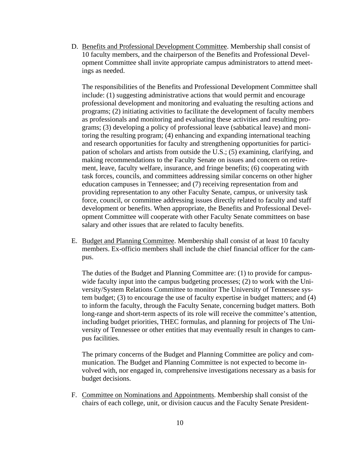D. Benefits and Professional Development Committee. Membership shall consist of 10 faculty members, and the chairperson of the Benefits and Professional Development Committee shall invite appropriate campus administrators to attend meetings as needed.

The responsibilities of the Benefits and Professional Development Committee shall include: (1) suggesting administrative actions that would permit and encourage professional development and monitoring and evaluating the resulting actions and programs; (2) initiating activities to facilitate the development of faculty members as professionals and monitoring and evaluating these activities and resulting programs; (3) developing a policy of professional leave (sabbatical leave) and monitoring the resulting program; (4) enhancing and expanding international teaching and research opportunities for faculty and strengthening opportunities for participation of scholars and artists from outside the U.S.; (5) examining, clarifying, and making recommendations to the Faculty Senate on issues and concern on retirement, leave, faculty welfare, insurance, and fringe benefits; (6) cooperating with task forces, councils, and committees addressing similar concerns on other higher education campuses in Tennessee; and (7) receiving representation from and providing representation to any other Faculty Senate, campus, or university task force, council, or committee addressing issues directly related to faculty and staff development or benefits. When appropriate, the Benefits and Professional Development Committee will cooperate with other Faculty Senate committees on base salary and other issues that are related to faculty benefits.

E. Budget and Planning Committee. Membership shall consist of at least 10 faculty members. Ex-officio members shall include the chief financial officer for the campus.

The duties of the Budget and Planning Committee are: (1) to provide for campuswide faculty input into the campus budgeting processes; (2) to work with the University/System Relations Committee to monitor The University of Tennessee system budget; (3) to encourage the use of faculty expertise in budget matters; and (4) to inform the faculty, through the Faculty Senate, concerning budget matters. Both long-range and short-term aspects of its role will receive the committee's attention, including budget priorities, THEC formulas, and planning for projects of The University of Tennessee or other entities that may eventually result in changes to campus facilities.

The primary concerns of the Budget and Planning Committee are policy and communication. The Budget and Planning Committee is not expected to become involved with, nor engaged in, comprehensive investigations necessary as a basis for budget decisions.

F. Committee on Nominations and Appointments. Membership shall consist of the chairs of each college, unit, or division caucus and the Faculty Senate President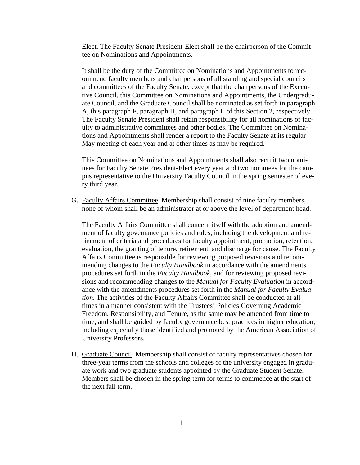Elect. The Faculty Senate President-Elect shall be the chairperson of the Committee on Nominations and Appointments.

It shall be the duty of the Committee on Nominations and Appointments to recommend faculty members and chairpersons of all standing and special councils and committees of the Faculty Senate, except that the chairpersons of the Executive Council, this Committee on Nominations and Appointments, the Undergraduate Council, and the Graduate Council shall be nominated as set forth in paragraph A, this paragraph F, paragraph H, and paragraph L of this Section 2, respectively. The Faculty Senate President shall retain responsibility for all nominations of faculty to administrative committees and other bodies. The Committee on Nominations and Appointments shall render a report to the Faculty Senate at its regular May meeting of each year and at other times as may be required.

This Committee on Nominations and Appointments shall also recruit two nominees for Faculty Senate President-Elect every year and two nominees for the campus representative to the University Faculty Council in the spring semester of every third year.

G. Faculty Affairs Committee. Membership shall consist of nine faculty members, none of whom shall be an administrator at or above the level of department head.

The Faculty Affairs Committee shall concern itself with the adoption and amendment of faculty governance policies and rules, including the development and refinement of criteria and procedures for faculty appointment, promotion, retention, evaluation, the granting of tenure, retirement, and discharge for cause. The Faculty Affairs Committee is responsible for reviewing proposed revisions and recommending changes to the *Faculty Handbook* in accordance with the amendments procedures set forth in the *Faculty Handbook*, and for reviewing proposed revisions and recommending changes to the *Manual for Faculty Evaluation* in accordance with the amendments procedures set forth in the *Manual for Faculty Evaluation*. The activities of the Faculty Affairs Committee shall be conducted at all times in a manner consistent with the Trustees' Policies Governing Academic Freedom, Responsibility, and Tenure, as the same may be amended from time to time, and shall be guided by faculty governance best practices in higher education, including especially those identified and promoted by the American Association of University Professors.

H. Graduate Council. Membership shall consist of faculty representatives chosen for three-year terms from the schools and colleges of the university engaged in graduate work and two graduate students appointed by the Graduate Student Senate. Members shall be chosen in the spring term for terms to commence at the start of the next fall term.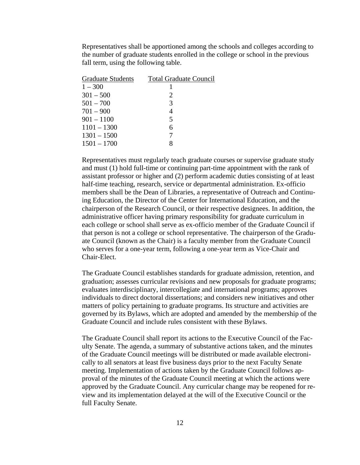Representatives shall be apportioned among the schools and colleges according to the number of graduate students enrolled in the college or school in the previous fall term, using the following table.

| <b>Graduate Students</b> | <b>Total Graduate Council</b> |
|--------------------------|-------------------------------|
| $1 - 300$                |                               |
| $301 - 500$              | 2                             |
| $501 - 700$              | 3                             |
| $701 - 900$              | 4                             |
| $901 - 1100$             | 5                             |
| $1101 - 1300$            | 6                             |
| $1301 - 1500$            |                               |
| $1501 - 1700$            | 8                             |

Representatives must regularly teach graduate courses or supervise graduate study and must (1) hold full-time or continuing part-time appointment with the rank of assistant professor or higher and (2) perform academic duties consisting of at least half-time teaching, research, service or departmental administration. Ex-officio members shall be the Dean of Libraries, a representative of Outreach and Continuing Education, the Director of the Center for International Education, and the chairperson of the Research Council, or their respective designees. In addition, the administrative officer having primary responsibility for graduate curriculum in each college or school shall serve as ex-officio member of the Graduate Council if that person is not a college or school representative. The chairperson of the Graduate Council (known as the Chair) is a faculty member from the Graduate Council who serves for a one-year term, following a one-year term as Vice-Chair and Chair-Elect.

The Graduate Council establishes standards for graduate admission, retention, and graduation; assesses curricular revisions and new proposals for graduate programs; evaluates interdisciplinary, intercollegiate and international programs; approves individuals to direct doctoral dissertations; and considers new initiatives and other matters of policy pertaining to graduate programs. Its structure and activities are governed by its Bylaws, which are adopted and amended by the membership of the Graduate Council and include rules consistent with these Bylaws.

The Graduate Council shall report its actions to the Executive Council of the Faculty Senate. The agenda, a summary of substantive actions taken, and the minutes of the Graduate Council meetings will be distributed or made available electronically to all senators at least five business days prior to the next Faculty Senate meeting. Implementation of actions taken by the Graduate Council follows approval of the minutes of the Graduate Council meeting at which the actions were approved by the Graduate Council. Any curricular change may be reopened for review and its implementation delayed at the will of the Executive Council or the full Faculty Senate.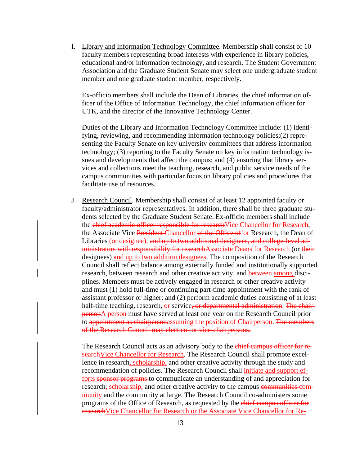I. Library and Information Technology Committee. Membership shall consist of 10 faculty members representing broad interests with experience in library policies, educational and/or information technology, and research. The Student Government Association and the Graduate Student Senate may select one undergraduate student member and one graduate student member, respectively.

Ex-officio members shall include the Dean of Libraries, the chief information officer of the Office of Information Technology, the chief information officer for UTK, and the director of the Innovative Technology Center.

Duties of the Library and Information Technology Committee include: (1) identifying, reviewing, and recommending information technology policies;(2) representing the Faculty Senate on key university committees that address information technology; (3) reporting to the Faculty Senate on key information technology issues and developments that affect the campus; and (4) ensuring that library services and collections meet the teaching, research, and public service needs of the campus communities with particular focus on library policies and procedures that facilitate use of resources.

J. Research Council. Membership shall consist of at least 12 appointed faculty or faculty/administrator representatives. In addition, there shall be three graduate students selected by the Graduate Student Senate. Ex-officio members shall include the chief academic officer responsible for research Vice Chancellor for Research, the Associate Vice President Chancellor of the Office offor Research, the Dean of Libraries (or designee), and up to two additional designees, and college-level administrators with responsibility for researchAssociate Deans for Research (or their designees) and up to two addition designees. The composition of the Research Council shall reflect balance among externally funded and institutionally supported research, between research and other creative activity, and **between among** disciplines. Members must be actively engaged in research or other creative activity and must (1) hold full-time or continuing part-time appointment with the rank of assistant professor or higher; and (2) perform academic duties consisting of at least half-time teaching, research, or service, or departmental administration. The chairpersonA person must have served at least one year on the Research Council prior to appointment as chairpersonassuming the position of Chairperson. The members of the Research Council may elect co- or vice-chairpersons.

The Research Council acts as an advisory body to the chief campus officer for researchVice Chancellor for Research. The Research Council shall promote excellence in research, scholarship, and other creative activity through the study and recommendation of policies. The Research Council shall *initiate and support ef*forts sponsor programs to communicate an understanding of and appreciation for research, scholarship, and other creative activity to the campus communities community and the community at large. The Research Council co-administers some programs of the Office of Research, as requested by the chief campus officer for researchVice Chancellor for Research or the Associate Vice Chancellor for Re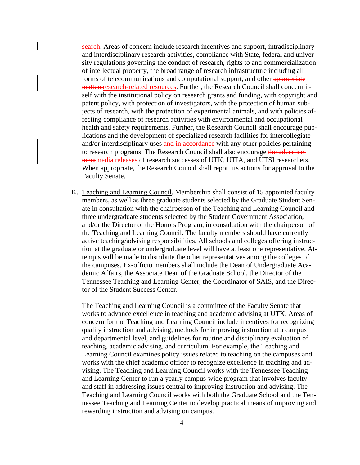search. Areas of concern include research incentives and support, intradisciplinary and interdisciplinary research activities, compliance with State, federal and university regulations governing the conduct of research, rights to and commercialization of intellectual property, the broad range of research infrastructure including all forms of telecommunications and computational support, and other appropriate mattersresearch-related resources. Further, the Research Council shall concern itself with the institutional policy on research grants and funding, with copyright and patent policy, with protection of investigators, with the protection of human subjects of research, with the protection of experimental animals, and with policies affecting compliance of research activities with environmental and occupational health and safety requirements. Further, the Research Council shall encourage publications and the development of specialized research facilities for intercollegiate and/or interdisciplinary uses and in accordance with any other policies pertaining to research programs. The Research Council shall also encourage the advertisementmedia releases of research successes of UTK, UTIA, and UTSI researchers. When appropriate, the Research Council shall report its actions for approval to the Faculty Senate.

K. Teaching and Learning Council. Membership shall consist of 15 appointed faculty members, as well as three graduate students selected by the Graduate Student Senate in consultation with the chairperson of the Teaching and Learning Council and three undergraduate students selected by the Student Government Association, and/or the Director of the Honors Program, in consultation with the chairperson of the Teaching and Learning Council. The faculty members should have currently active teaching/advising responsibilities. All schools and colleges offering instruction at the graduate or undergraduate level will have at least one representative. Attempts will be made to distribute the other representatives among the colleges of the campuses. Ex-officio members shall include the Dean of Undergraduate Academic Affairs, the Associate Dean of the Graduate School, the Director of the Tennessee Teaching and Learning Center, the Coordinator of SAIS, and the Director of the Student Success Center.

The Teaching and Learning Council is a committee of the Faculty Senate that works to advance excellence in teaching and academic advising at UTK. Areas of concern for the Teaching and Learning Council include incentives for recognizing quality instruction and advising, methods for improving instruction at a campus and departmental level, and guidelines for routine and disciplinary evaluation of teaching, academic advising, and curriculum. For example, the Teaching and Learning Council examines policy issues related to teaching on the campuses and works with the chief academic officer to recognize excellence in teaching and advising. The Teaching and Learning Council works with the Tennessee Teaching and Learning Center to run a yearly campus-wide program that involves faculty and staff in addressing issues central to improving instruction and advising. The Teaching and Learning Council works with both the Graduate School and the Tennessee Teaching and Learning Center to develop practical means of improving and rewarding instruction and advising on campus.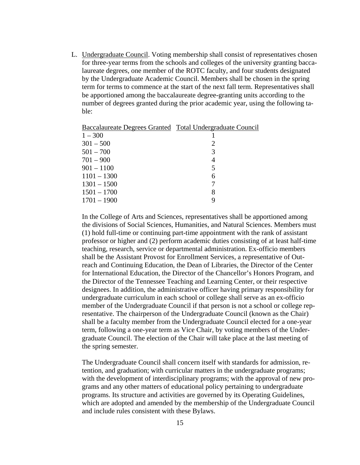L. Undergraduate Council. Voting membership shall consist of representatives chosen for three-year terms from the schools and colleges of the university granting baccalaureate degrees, one member of the ROTC faculty, and four students designated by the Undergraduate Academic Council. Members shall be chosen in the spring term for terms to commence at the start of the next fall term. Representatives shall be apportioned among the baccalaureate degree-granting units according to the number of degrees granted during the prior academic year, using the following table:

| Baccalaureate Degrees Granted Total Undergraduate Council |   |
|-----------------------------------------------------------|---|
| $1 - 300$                                                 |   |
| $301 - 500$                                               | 2 |
| $501 - 700$                                               | 3 |
| $701 - 900$                                               | 4 |
| $901 - 1100$                                              | 5 |
| $1101 - 1300$                                             | 6 |
| $1301 - 1500$                                             |   |
| $1501 - 1700$                                             | 8 |
| $1701 - 1900$                                             | 9 |
|                                                           |   |

In the College of Arts and Sciences, representatives shall be apportioned among the divisions of Social Sciences, Humanities, and Natural Sciences. Members must (1) hold full-time or continuing part-time appointment with the rank of assistant professor or higher and (2) perform academic duties consisting of at least half-time teaching, research, service or departmental administration. Ex-officio members shall be the Assistant Provost for Enrollment Services, a representative of Outreach and Continuing Education, the Dean of Libraries, the Director of the Center for International Education, the Director of the Chancellor's Honors Program, and the Director of the Tennessee Teaching and Learning Center, or their respective designees. In addition, the administrative officer having primary responsibility for undergraduate curriculum in each school or college shall serve as an ex-officio member of the Undergraduate Council if that person is not a school or college representative. The chairperson of the Undergraduate Council (known as the Chair) shall be a faculty member from the Undergraduate Council elected for a one-year term, following a one-year term as Vice Chair, by voting members of the Undergraduate Council. The election of the Chair will take place at the last meeting of the spring semester.

The Undergraduate Council shall concern itself with standards for admission, retention, and graduation; with curricular matters in the undergraduate programs; with the development of interdisciplinary programs; with the approval of new programs and any other matters of educational policy pertaining to undergraduate programs. Its structure and activities are governed by its Operating Guidelines, which are adopted and amended by the membership of the Undergraduate Council and include rules consistent with these Bylaws.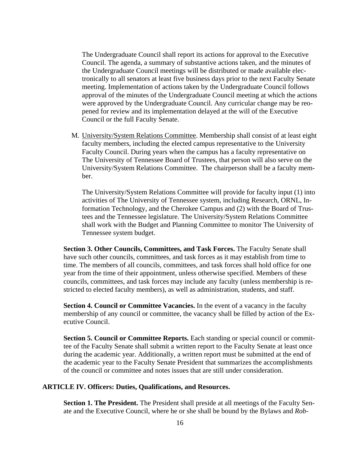The Undergraduate Council shall report its actions for approval to the Executive Council. The agenda, a summary of substantive actions taken, and the minutes of the Undergraduate Council meetings will be distributed or made available electronically to all senators at least five business days prior to the next Faculty Senate meeting. Implementation of actions taken by the Undergraduate Council follows approval of the minutes of the Undergraduate Council meeting at which the actions were approved by the Undergraduate Council. Any curricular change may be reopened for review and its implementation delayed at the will of the Executive Council or the full Faculty Senate.

M. University/System Relations Committee. Membership shall consist of at least eight faculty members, including the elected campus representative to the University Faculty Council. During years when the campus has a faculty representative on The University of Tennessee Board of Trustees, that person will also serve on the University/System Relations Committee. The chairperson shall be a faculty member.

The University/System Relations Committee will provide for faculty input (1) into activities of The University of Tennessee system, including Research, ORNL, Information Technology, and the Cherokee Campus and (2) with the Board of Trustees and the Tennessee legislature. The University/System Relations Committee shall work with the Budget and Planning Committee to monitor The University of Tennessee system budget.

**Section 3. Other Councils, Committees, and Task Forces.** The Faculty Senate shall have such other councils, committees, and task forces as it may establish from time to time. The members of all councils, committees, and task forces shall hold office for one year from the time of their appointment, unless otherwise specified. Members of these councils, committees, and task forces may include any faculty (unless membership is restricted to elected faculty members), as well as administration, students, and staff.

**Section 4. Council or Committee Vacancies.** In the event of a vacancy in the faculty membership of any council or committee, the vacancy shall be filled by action of the Executive Council.

**Section 5. Council or Committee Reports.** Each standing or special council or committee of the Faculty Senate shall submit a written report to the Faculty Senate at least once during the academic year. Additionally, a written report must be submitted at the end of the academic year to the Faculty Senate President that summarizes the accomplishments of the council or committee and notes issues that are still under consideration.

# **ARTICLE IV. Officers: Duties, Qualifications, and Resources.**

**Section 1. The President.** The President shall preside at all meetings of the Faculty Senate and the Executive Council, where he or she shall be bound by the Bylaws and *Rob-*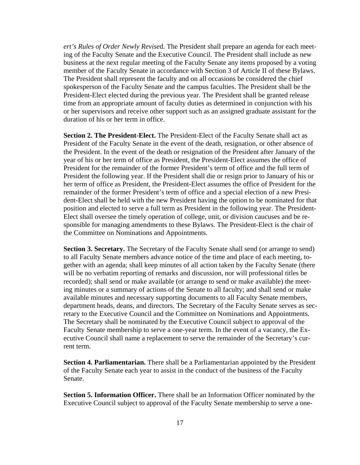*ert's Rules of Order Newly Revise*d. The President shall prepare an agenda for each meeting of the Faculty Senate and the Executive Council. The President shall include as new business at the next regular meeting of the Faculty Senate any items proposed by a voting member of the Faculty Senate in accordance with Section 3 of Article II of these Bylaws. The President shall represent the faculty and on all occasions be considered the chief spokesperson of the Faculty Senate and the campus faculties. The President shall be the President-Elect elected during the previous year. The President shall be granted release time from an appropriate amount of faculty duties as determined in conjunction with his or her supervisors and receive other support such as an assigned graduate assistant for the duration of his or her term in office.

**Section 2. The President-Elect.** The President-Elect of the Faculty Senate shall act as President of the Faculty Senate in the event of the death, resignation, or other absence of the President. In the event of the death or resignation of the President after January of the year of his or her term of office as President, the President-Elect assumes the office of President for the remainder of the former President's term of office and the full term of President the following year. If the President shall die or resign prior to January of his or her term of office as President, the President-Elect assumes the office of President for the remainder of the former President's term of office and a special election of a new President-Elect shall be held with the new President having the option to be nominated for that position and elected to serve a full term as President in the following year. The President-Elect shall oversee the timely operation of college, unit, or division caucuses and be responsible for managing amendments to these Bylaws. The President-Elect is the chair of the Committee on Nominations and Appointments.

**Section 3. Secretary.** The Secretary of the Faculty Senate shall send (or arrange to send) to all Faculty Senate members advance notice of the time and place of each meeting, together with an agenda; shall keep minutes of all action taken by the Faculty Senate (there will be no verbatim reporting of remarks and discussion, nor will professional titles be recorded); shall send or make available (or arrange to send or make available) the meeting minutes or a summary of actions of the Senate to all faculty; and shall send or make available minutes and necessary supporting documents to all Faculty Senate members, department heads, deans, and directors. The Secretary of the Faculty Senate serves as secretary to the Executive Council and the Committee on Nominations and Appointments. The Secretary shall be nominated by the Executive Council subject to approval of the Faculty Senate membership to serve a one-year term. In the event of a vacancy, the Executive Council shall name a replacement to serve the remainder of the Secretary's current term.

**Section 4. Parliamentarian.** There shall be a Parliamentarian appointed by the President of the Faculty Senate each year to assist in the conduct of the business of the Faculty Senate.

**Section 5. Information Officer.** There shall be an Information Officer nominated by the Executive Council subject to approval of the Faculty Senate membership to serve a one